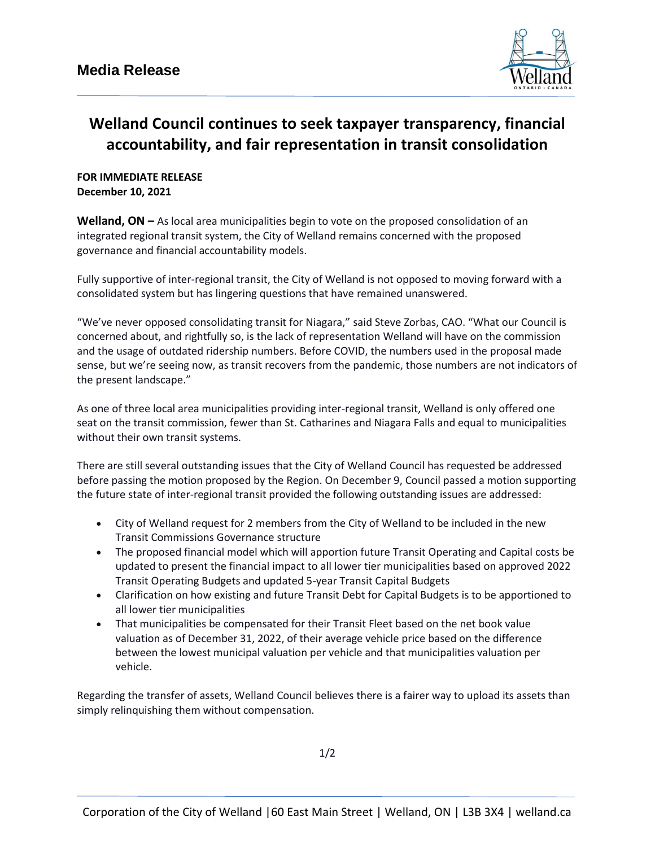

## **Welland Council continues to seek taxpayer transparency, financial accountability, and fair representation in transit consolidation**

## **FOR IMMEDIATE RELEASE December 10, 2021**

**Welland, ON –** As local area municipalities begin to vote on the proposed consolidation of an integrated regional transit system, the City of Welland remains concerned with the proposed governance and financial accountability models.

Fully supportive of inter-regional transit, the City of Welland is not opposed to moving forward with a consolidated system but has lingering questions that have remained unanswered.

"We've never opposed consolidating transit for Niagara," said Steve Zorbas, CAO. "What our Council is concerned about, and rightfully so, is the lack of representation Welland will have on the commission and the usage of outdated ridership numbers. Before COVID, the numbers used in the proposal made sense, but we're seeing now, as transit recovers from the pandemic, those numbers are not indicators of the present landscape."

As one of three local area municipalities providing inter-regional transit, Welland is only offered one seat on the transit commission, fewer than St. Catharines and Niagara Falls and equal to municipalities without their own transit systems.

There are still several outstanding issues that the City of Welland Council has requested be addressed before passing the motion proposed by the Region. On December 9, Council passed a motion supporting the future state of inter-regional transit provided the following outstanding issues are addressed:

- City of Welland request for 2 members from the City of Welland to be included in the new Transit Commissions Governance structure
- The proposed financial model which will apportion future Transit Operating and Capital costs be updated to present the financial impact to all lower tier municipalities based on approved 2022 Transit Operating Budgets and updated 5-year Transit Capital Budgets
- Clarification on how existing and future Transit Debt for Capital Budgets is to be apportioned to all lower tier municipalities
- That municipalities be compensated for their Transit Fleet based on the net book value valuation as of December 31, 2022, of their average vehicle price based on the difference between the lowest municipal valuation per vehicle and that municipalities valuation per vehicle.

Regarding the transfer of assets, Welland Council believes there is a fairer way to upload its assets than simply relinquishing them without compensation.